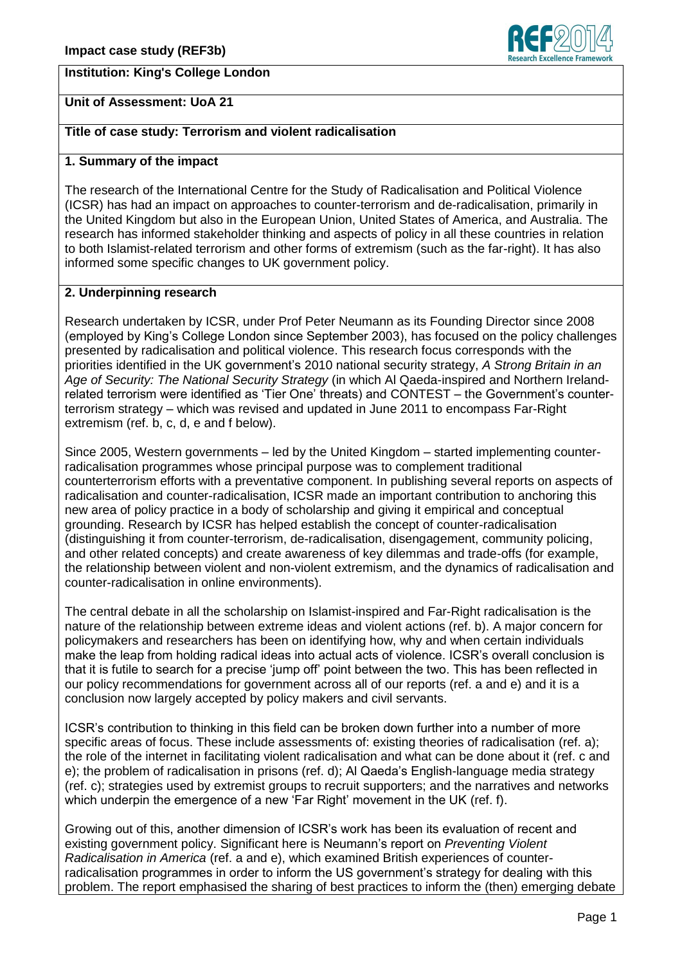# **Institution: King's College London**



### **Unit of Assessment: UoA 21**

## **Title of case study: Terrorism and violent radicalisation**

#### **1. Summary of the impact**

The research of the International Centre for the Study of Radicalisation and Political Violence (ICSR) has had an impact on approaches to counter-terrorism and de-radicalisation, primarily in the United Kingdom but also in the European Union, United States of America, and Australia. The research has informed stakeholder thinking and aspects of policy in all these countries in relation to both Islamist-related terrorism and other forms of extremism (such as the far-right). It has also informed some specific changes to UK government policy.

#### **2. Underpinning research**

Research undertaken by ICSR, under Prof Peter Neumann as its Founding Director since 2008 (employed by King's College London since September 2003), has focused on the policy challenges presented by radicalisation and political violence. This research focus corresponds with the priorities identified in the UK government's 2010 national security strategy, *A Strong Britain in an Age of Security: The National Security Strategy* (in which Al Qaeda-inspired and Northern Irelandrelated terrorism were identified as 'Tier One' threats) and CONTEST – the Government's counterterrorism strategy – which was revised and updated in June 2011 to encompass Far-Right extremism (ref. b, c, d, e and f below).

Since 2005, Western governments – led by the United Kingdom – started implementing counterradicalisation programmes whose principal purpose was to complement traditional counterterrorism efforts with a preventative component. In publishing several reports on aspects of radicalisation and counter-radicalisation, ICSR made an important contribution to anchoring this new area of policy practice in a body of scholarship and giving it empirical and conceptual grounding. Research by ICSR has helped establish the concept of counter-radicalisation (distinguishing it from counter-terrorism, de-radicalisation, disengagement, community policing, and other related concepts) and create awareness of key dilemmas and trade-offs (for example, the relationship between violent and non-violent extremism, and the dynamics of radicalisation and counter-radicalisation in online environments).

The central debate in all the scholarship on Islamist-inspired and Far-Right radicalisation is the nature of the relationship between extreme ideas and violent actions (ref. b). A major concern for policymakers and researchers has been on identifying how, why and when certain individuals make the leap from holding radical ideas into actual acts of violence. ICSR's overall conclusion is that it is futile to search for a precise 'jump off' point between the two. This has been reflected in our policy recommendations for government across all of our reports (ref. a and e) and it is a conclusion now largely accepted by policy makers and civil servants.

ICSR's contribution to thinking in this field can be broken down further into a number of more specific areas of focus. These include assessments of: existing theories of radicalisation (ref. a); the role of the internet in facilitating violent radicalisation and what can be done about it (ref. c and e); the problem of radicalisation in prisons (ref. d); Al Qaeda's English-language media strategy (ref. c); strategies used by extremist groups to recruit supporters; and the narratives and networks which underpin the emergence of a new 'Far Right' movement in the UK (ref. f).

Growing out of this, another dimension of ICSR's work has been its evaluation of recent and existing government policy. Significant here is Neumann's report on *Preventing Violent Radicalisation in America* (ref. a and e), which examined British experiences of counterradicalisation programmes in order to inform the US government's strategy for dealing with this problem. The report emphasised the sharing of best practices to inform the (then) emerging debate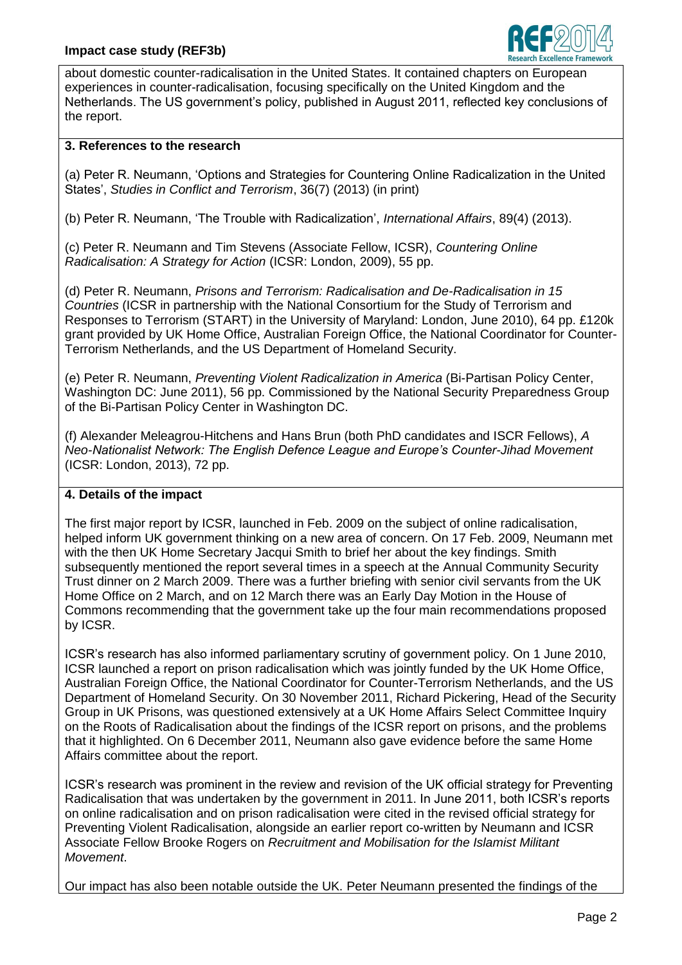

about domestic counter-radicalisation in the United States. It contained chapters on European experiences in counter-radicalisation, focusing specifically on the United Kingdom and the Netherlands. The US government's policy, published in August 2011, reflected key conclusions of the report.

# **3. References to the research**

(a) Peter R. Neumann, 'Options and Strategies for Countering Online Radicalization in the United States', *Studies in Conflict and Terrorism*, 36(7) (2013) (in print)

(b) Peter R. Neumann, 'The Trouble with Radicalization', *International Affairs*, 89(4) (2013).

(c) Peter R. Neumann and Tim Stevens (Associate Fellow, ICSR), *Countering Online Radicalisation: A Strategy for Action* (ICSR: London, 2009), 55 pp.

(d) Peter R. Neumann, *Prisons and Terrorism: Radicalisation and De-Radicalisation in 15 Countries* (ICSR in partnership with the National Consortium for the Study of Terrorism and Responses to Terrorism (START) in the University of Maryland: London, June 2010), 64 pp. £120k grant provided by UK Home Office, Australian Foreign Office, the National Coordinator for Counter-Terrorism Netherlands, and the US Department of Homeland Security.

(e) Peter R. Neumann, *Preventing Violent Radicalization in America* (Bi-Partisan Policy Center, Washington DC: June 2011), 56 pp. Commissioned by the National Security Preparedness Group of the Bi-Partisan Policy Center in Washington DC.

(f) Alexander Meleagrou-Hitchens and Hans Brun (both PhD candidates and ISCR Fellows), *A Neo-Nationalist Network: The English Defence League and Europe's Counter-Jihad Movement* (ICSR: London, 2013), 72 pp.

### **4. Details of the impact**

The first major report by ICSR, launched in Feb. 2009 on the subject of online radicalisation, helped inform UK government thinking on a new area of concern. On 17 Feb. 2009, Neumann met with the then UK Home Secretary Jacqui Smith to brief her about the key findings. Smith subsequently mentioned the report several times in a speech at the Annual Community Security Trust dinner on 2 March 2009. There was a further briefing with senior civil servants from the UK Home Office on 2 March, and on 12 March there was an Early Day Motion in the House of Commons recommending that the government take up the four main recommendations proposed by ICSR.

ICSR's research has also informed parliamentary scrutiny of government policy. On 1 June 2010, ICSR launched a report on prison radicalisation which was jointly funded by the UK Home Office, Australian Foreign Office, the National Coordinator for Counter-Terrorism Netherlands, and the US Department of Homeland Security. On 30 November 2011, Richard Pickering, Head of the Security Group in UK Prisons, was questioned extensively at a UK Home Affairs Select Committee Inquiry on the Roots of Radicalisation about the findings of the ICSR report on prisons, and the problems that it highlighted. On 6 December 2011, Neumann also gave evidence before the same Home Affairs committee about the report.

ICSR's research was prominent in the review and revision of the UK official strategy for Preventing Radicalisation that was undertaken by the government in 2011. In June 2011, both ICSR's reports on online radicalisation and on prison radicalisation were cited in the revised official strategy for Preventing Violent Radicalisation, alongside an earlier report co-written by Neumann and ICSR Associate Fellow Brooke Rogers on *Recruitment and Mobilisation for the Islamist Militant Movement*.

Our impact has also been notable outside the UK. Peter Neumann presented the findings of the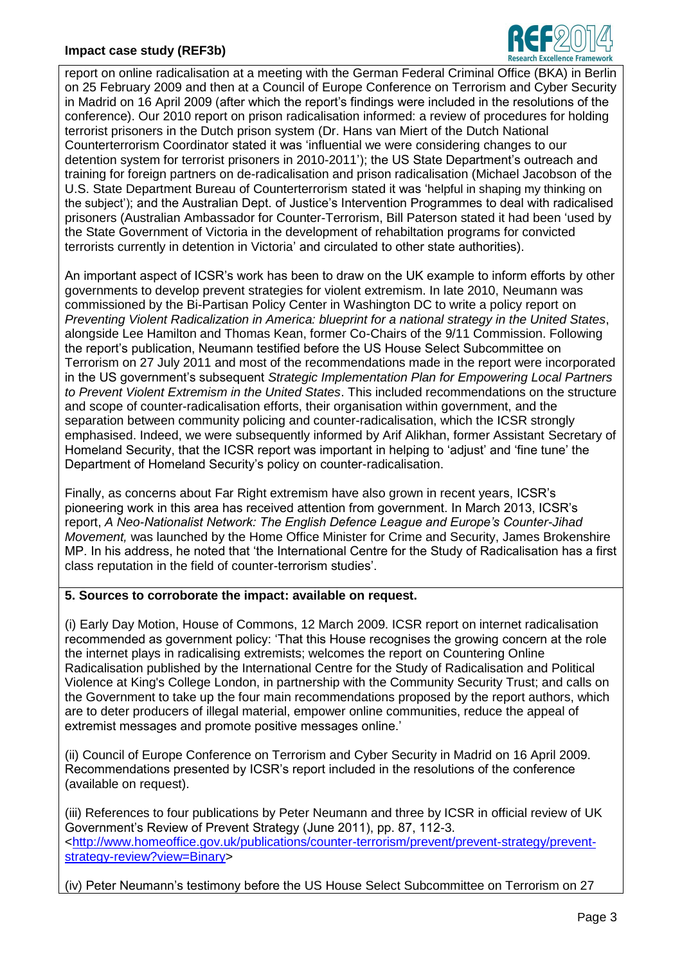# **Impact case study (REF3b)**



report on online radicalisation at a meeting with the German Federal Criminal Office (BKA) in Berlin on 25 February 2009 and then at a Council of Europe Conference on Terrorism and Cyber Security in Madrid on 16 April 2009 (after which the report's findings were included in the resolutions of the conference). Our 2010 report on prison radicalisation informed: a review of procedures for holding terrorist prisoners in the Dutch prison system (Dr. Hans van Miert of the Dutch National Counterterrorism Coordinator stated it was 'influential we were considering changes to our detention system for terrorist prisoners in 2010-2011'); the US State Department's outreach and training for foreign partners on de-radicalisation and prison radicalisation (Michael Jacobson of the U.S. State Department Bureau of Counterterrorism stated it was 'helpful in shaping my thinking on the subject'); and the Australian Dept. of Justice's Intervention Programmes to deal with radicalised prisoners (Australian Ambassador for Counter-Terrorism, Bill Paterson stated it had been 'used by the State Government of Victoria in the development of rehabiltation programs for convicted terrorists currently in detention in Victoria' and circulated to other state authorities).

An important aspect of ICSR's work has been to draw on the UK example to inform efforts by other governments to develop prevent strategies for violent extremism. In late 2010, Neumann was commissioned by the Bi-Partisan Policy Center in Washington DC to write a policy report on *Preventing Violent Radicalization in America: blueprint for a national strategy in the United States*, alongside Lee Hamilton and Thomas Kean, former Co-Chairs of the 9/11 Commission. Following the report's publication, Neumann testified before the US House Select Subcommittee on Terrorism on 27 July 2011 and most of the recommendations made in the report were incorporated in the US government's subsequent *Strategic Implementation Plan for Empowering Local Partners to Prevent Violent Extremism in the United States*. This included recommendations on the structure and scope of counter-radicalisation efforts, their organisation within government, and the separation between community policing and counter-radicalisation, which the ICSR strongly emphasised. Indeed, we were subsequently informed by Arif Alikhan, former Assistant Secretary of Homeland Security, that the ICSR report was important in helping to 'adjust' and 'fine tune' the Department of Homeland Security's policy on counter-radicalisation.

Finally, as concerns about Far Right extremism have also grown in recent years, ICSR's pioneering work in this area has received attention from government. In March 2013, ICSR's report, *A Neo-Nationalist Network: The English Defence League and Europe's Counter-Jihad Movement,* was launched by the Home Office Minister for Crime and Security, James Brokenshire MP. In his address, he noted that 'the International Centre for the Study of Radicalisation has a first class reputation in the field of counter-terrorism studies'.

# **5. Sources to corroborate the impact: available on request.**

(i) Early Day Motion, House of Commons, 12 March 2009. ICSR report on internet radicalisation recommended as government policy: 'That this House recognises the growing concern at the role the internet plays in radicalising extremists; welcomes the report on Countering Online Radicalisation published by the International Centre for the Study of Radicalisation and Political Violence at King's College London, in partnership with the Community Security Trust; and calls on the Government to take up the four main recommendations proposed by the report authors, which are to deter producers of illegal material, empower online communities, reduce the appeal of extremist messages and promote positive messages online.'

(ii) Council of Europe Conference on Terrorism and Cyber Security in Madrid on 16 April 2009. Recommendations presented by ICSR's report included in the resolutions of the conference (available on request).

(iii) References to four publications by Peter Neumann and three by ICSR in official review of UK Government's Review of Prevent Strategy (June 2011), pp. 87, 112-3. [<http://www.homeoffice.gov.uk/publications/counter-terrorism/prevent/prevent-strategy/prevent](http://www.homeoffice.gov.uk/publications/counter-terrorism/prevent/prevent-strategy/prevent-strategy-review?view=Binary)[strategy-review?view=Binary>](http://www.homeoffice.gov.uk/publications/counter-terrorism/prevent/prevent-strategy/prevent-strategy-review?view=Binary)

(iv) Peter Neumann's testimony before the US House Select Subcommittee on Terrorism on 27